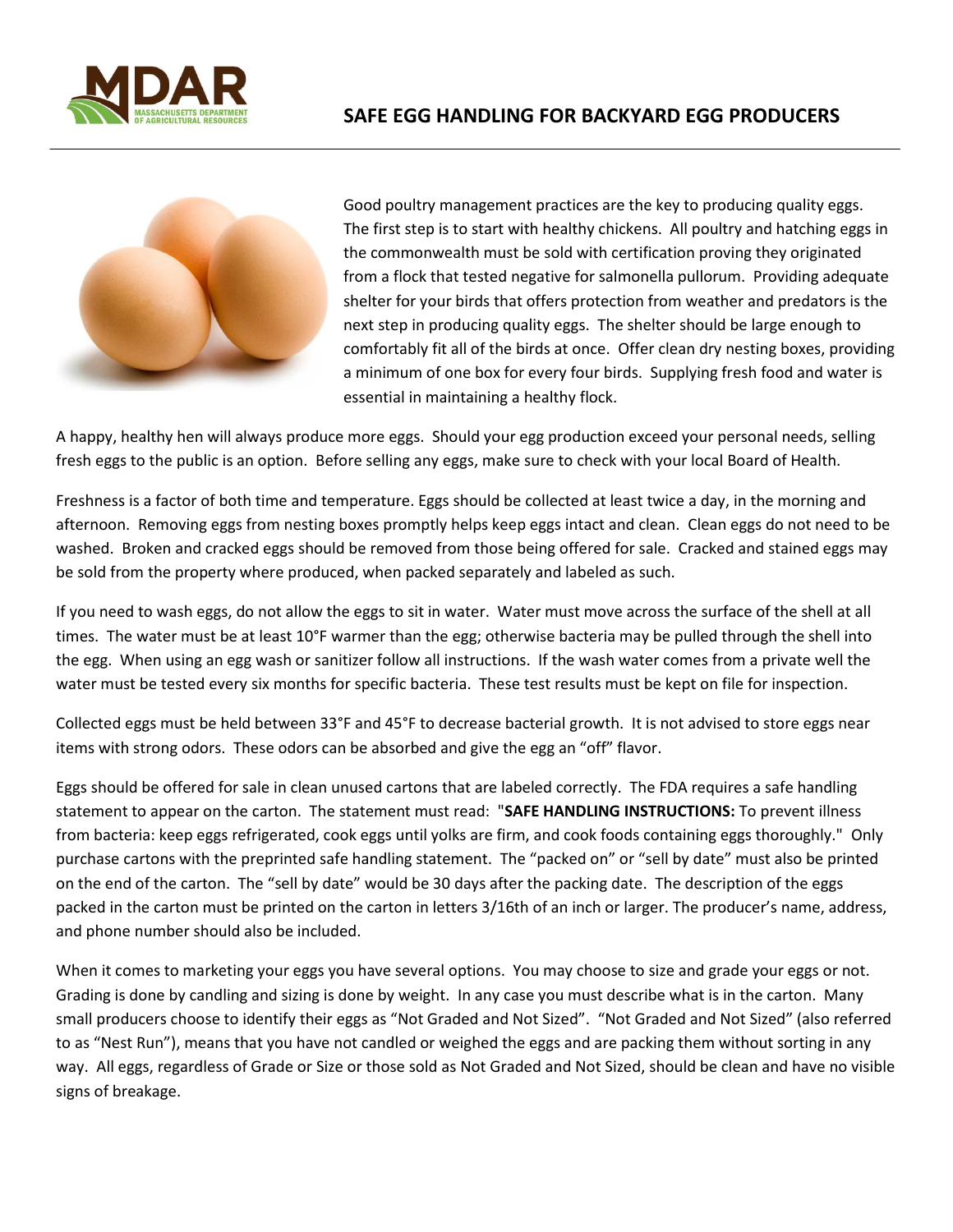



Good poultry management practices are the key to producing quality eggs. The first step is to start with healthy chickens. All poultry and hatching eggs in the commonwealth must be sold with certification proving they originated from a flock that tested negative for salmonella pullorum. Providing adequate shelter for your birds that offers protection from weather and predators is the next step in producing quality eggs. The shelter should be large enough to comfortably fit all of the birds at once. Offer clean dry nesting boxes, providing a minimum of one box for every four birds. Supplying fresh food and water is essential in maintaining a healthy flock.

A happy, healthy hen will always produce more eggs. Should your egg production exceed your personal needs, selling fresh eggs to the public is an option. Before selling any eggs, make sure to check with your local Board of Health.

Freshness is a factor of both time and temperature. Eggs should be collected at least twice a day, in the morning and afternoon. Removing eggs from nesting boxes promptly helps keep eggs intact and clean. Clean eggs do not need to be washed. Broken and cracked eggs should be removed from those being offered for sale. Cracked and stained eggs may be sold from the property where produced, when packed separately and labeled as such.

If you need to wash eggs, do not allow the eggs to sit in water. Water must move across the surface of the shell at all times. The water must be at least 10°F warmer than the egg; otherwise bacteria may be pulled through the shell into the egg. When using an egg wash or sanitizer follow all instructions. If the wash water comes from a private well the water must be tested every six months for specific bacteria. These test results must be kept on file for inspection.

Collected eggs must be held between 33°F and 45°F to decrease bacterial growth. It is not advised to store eggs near items with strong odors. These odors can be absorbed and give the egg an "off" flavor.

Eggs should be offered for sale in clean unused cartons that are labeled correctly. The FDA requires a safe handling statement to appear on the carton. The statement must read: "**SAFE HANDLING INSTRUCTIONS:** To prevent illness from bacteria: keep eggs refrigerated, cook eggs until yolks are firm, and cook foods containing eggs thoroughly." Only purchase cartons with the preprinted safe handling statement. The "packed on" or "sell by date" must also be printed on the end of the carton. The "sell by date" would be 30 days after the packing date. The description of the eggs packed in the carton must be printed on the carton in letters 3/16th of an inch or larger. The producer's name, address, and phone number should also be included.

When it comes to marketing your eggs you have several options. You may choose to size and grade your eggs or not. Grading is done by candling and sizing is done by weight. In any case you must describe what is in the carton. Many small producers choose to identify their eggs as "Not Graded and Not Sized". "Not Graded and Not Sized" (also referred to as "Nest Run"), means that you have not candled or weighed the eggs and are packing them without sorting in any way. All eggs, regardless of Grade or Size or those sold as Not Graded and Not Sized, should be clean and have no visible signs of breakage.